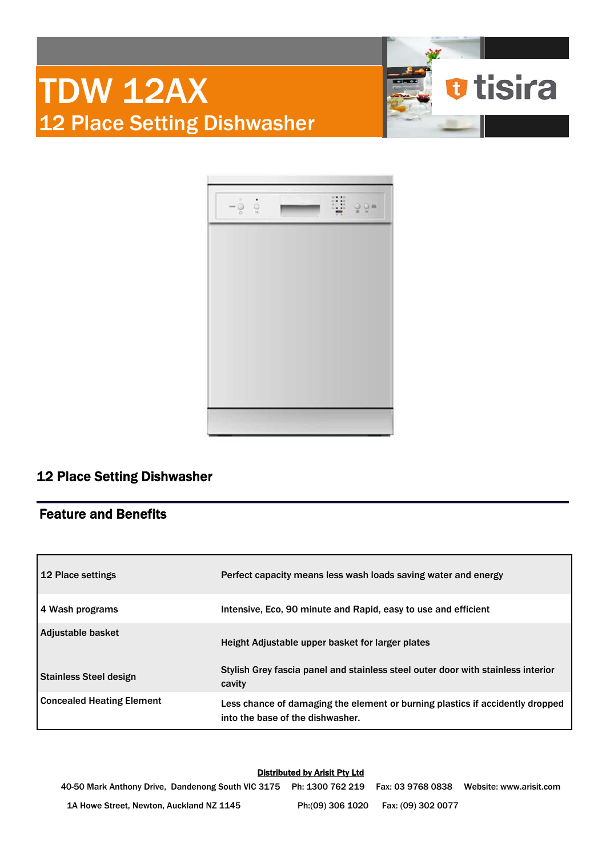



# 12 Place Setting Dishwasher

# Feature and Benefits

| 12 Place settings             | Perfect capacity means less wash loads saving water and energy                                                    |
|-------------------------------|-------------------------------------------------------------------------------------------------------------------|
| 4 Wash programs               | Intensive, Eco, 90 minute and Rapid, easy to use and efficient                                                    |
| Adjustable basket             | Height Adjustable upper basket for larger plates                                                                  |
| <b>Stainless Steel design</b> | Stylish Grey fascia panel and stainless steel outer door with stainless interior<br>cavity                        |
| Concealed Heating Element     | Less chance of damaging the element or burning plastics if accidently dropped<br>into the base of the dishwasher. |

### Distributed by Arisit Pty Ltd

40-50 Mark Anthony Drive, Dandenong South VIC 3175 Ph: 1300 762 219 Fax: 03 9768 0838 Website: www.arisit.com 1A Howe Street, Newton, Auckland NZ 1145 Ph:(09) 306 1020 Fax: (09) 302 0077